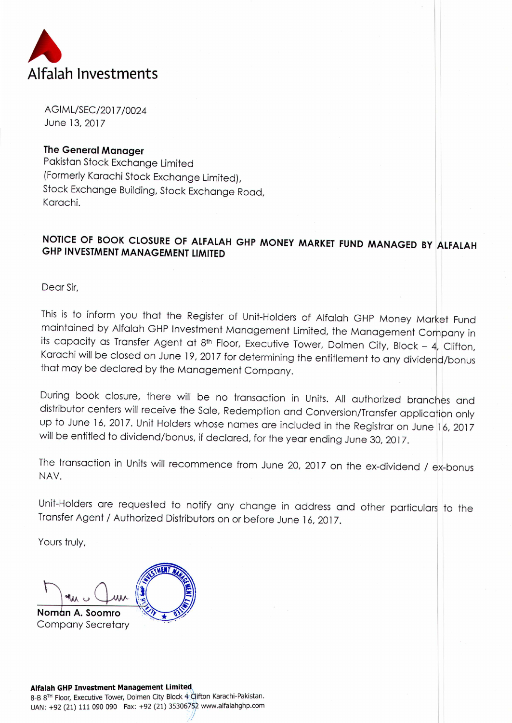

AGIML/SEC/2017/0024 June 13,2017

## **The General Manager**

Pakistan Stock Exchange limited (Formerly Karachi Stock Exchange Limited), Stock Exchange Building, Stock Exchange Road, Karachi.

## **NOTICE OF BOOK CLOSURE OF ALFALAH GHP MONEY MARKET FUND MANAGED BY lLFALAH GHP INVESTMENT MANAGEMENT LIMITED**

Dear Sir,

This is to inform you that the Register of Unit-Holders of Alfalah GHP Money Market Fund maintained by Alfalah GHP Investment Management Limited, the Management Company in its capacity as Transfer Agent at 8<sup>th</sup> Floor, Executive Tower, Dolmen City, Block - 4, Clifton, Karachi will be closed on June 19, 2017 for determining the entitlement to any dividend/bonus that may be declared by the Management Company.

During book closure, there will be no transaction in Units. All authorized branches and distributor centers will receive the Sale, Redemption and Conversion/Transfer application only up to June 16, 2017. Unit Holders whose names are included in the Registrar on June 16, 2017 will be entitled to dividend/bonus, if declared, for the year ending June 30, 2017.

The transaction in Units will recommence from June 20, 2017 on the ex-dividend / ex-bonus NAY.

Unit-Holders are requested to notify any change in address and other particulars to the Transfer Agent / Authorized Distributors on or before June 16,2017.

Yours truly,

Noman A. Soomro **Company Secretary** 

8-B 8<sup>TH</sup> Floor, Executive Tower, Dolmen City Block 4 Clifton Karachi-Pakistan. UAN: +92 (21) 111 090 090 Fax: +92 (21) 35306752 www.alfalahghp.com